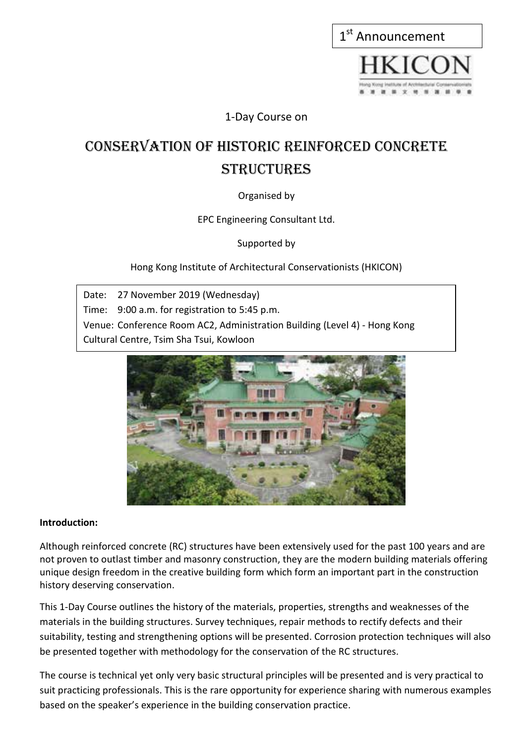| 1 <sup>st</sup> Announcement |  |  |  |
|------------------------------|--|--|--|
|                              |  |  |  |

1-Day Course on

## Conservation of Historic reinforced Concrete **STRUCTURES**

#### Organised by

EPC Engineering Consultant Ltd.

Supported by

Hong Kong Institute of Architectural Conservationists (HKICON)

Date: 27 November 2019 (Wednesday) Time: 9:00 a.m. for registration to 5:45 p.m. Venue: Conference Room AC2, Administration Building (Level 4) - Hong Kong Cultural Centre, Tsim Sha Tsui, Kowloon



#### **Introduction:**

Although reinforced concrete (RC) structures have been extensively used for the past 100 years and are not proven to outlast timber and masonry construction, they are the modern building materials offering unique design freedom in the creative building form which form an important part in the construction history deserving conservation.

This 1-Day Course outlines the history of the materials, properties, strengths and weaknesses of the materials in the building structures. Survey techniques, repair methods to rectify defects and their suitability, testing and strengthening options will be presented. Corrosion protection techniques will also be presented together with methodology for the conservation of the RC structures.

The course is technical yet only very basic structural principles will be presented and is very practical to suit practicing professionals. This is the rare opportunity for experience sharing with numerous examples based on the speaker's experience in the building conservation practice.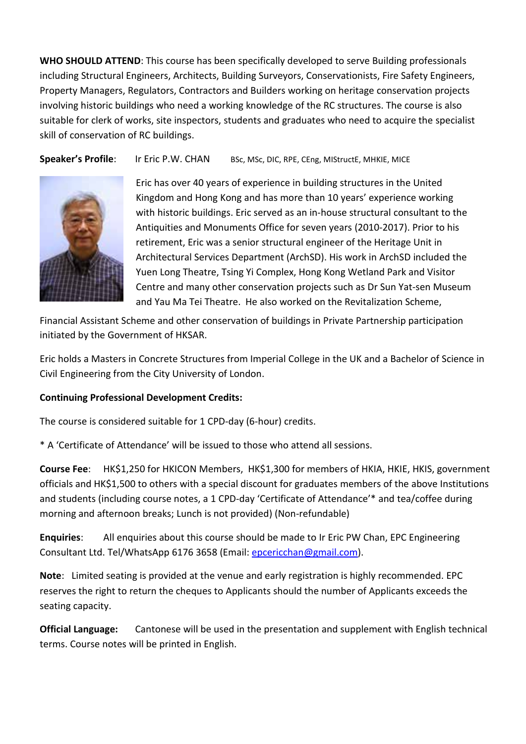**WHO SHOULD ATTEND**: This course has been specifically developed to serve Building professionals including Structural Engineers, Architects, Building Surveyors, Conservationists, Fire Safety Engineers, Property Managers, Regulators, Contractors and Builders working on heritage conservation projects involving historic buildings who need a working knowledge of the RC structures. The course is also suitable for clerk of works, site inspectors, students and graduates who need to acquire the specialist skill of conservation of RC buildings.

**Speaker's Profile:** Ir Eric P.W. CHAN BSc, MSc, DIC, RPE, CEng, MIStructE, MHKIE, MICE



Eric has over 40 years of experience in building structures in the United Kingdom and Hong Kong and has more than 10 years' experience working with historic buildings. Eric served as an in-house structural consultant to the Antiquities and Monuments Office for seven years (2010-2017). Prior to his retirement, Eric was a senior structural engineer of the Heritage Unit in Architectural Services Department (ArchSD). His work in ArchSD included the Yuen Long Theatre, Tsing Yi Complex, Hong Kong Wetland Park and Visitor Centre and many other conservation projects such as Dr Sun Yat-sen Museum and Yau Ma Tei Theatre. He also worked on the Revitalization Scheme,

Financial Assistant Scheme and other conservation of buildings in Private Partnership participation initiated by the Government of HKSAR.

Eric holds a Masters in Concrete Structures from Imperial College in the UK and a Bachelor of Science in Civil Engineering from the City University of London.

#### **Continuing Professional Development Credits:**

The course is considered suitable for 1 CPD-day (6-hour) credits.

\* A 'Certificate of Attendance' will be issued to those who attend all sessions.

**Course Fee**: HK\$1,250 for HKICON Members, HK\$1,300 for members of HKIA, HKIE, HKIS, government officials and HK\$1,500 to others with a special discount for graduates members of the above Institutions and students (including course notes, a 1 CPD-day 'Certificate of Attendance'\* and tea/coffee during morning and afternoon breaks; Lunch is not provided) (Non-refundable)

**Enquiries**: All enquiries about this course should be made to Ir Eric PW Chan, EPC Engineering Consultant Ltd. Tel/WhatsApp 6176 3658 (Email: epcericchan@gmail.com).

**Note**: Limited seating is provided at the venue and early registration is highly recommended. EPC reserves the right to return the cheques to Applicants should the number of Applicants exceeds the seating capacity.

**Official Language:** Cantonese will be used in the presentation and supplement with English technical terms. Course notes will be printed in English.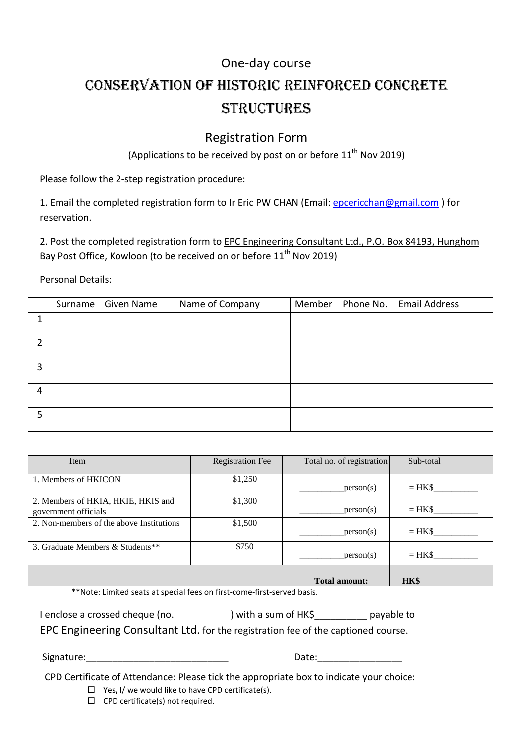### One-day course

## Conservation of Historic reinforced concrete **STRUCTURES**

### Registration Form

(Applications to be received by post on or before  $11<sup>th</sup>$  Nov 2019)

Please follow the 2-step registration procedure:

1. Email the completed registration form to Ir Eric PW CHAN (Email: epcericchan@gmail.com) for reservation.

2. Post the completed registration form to **EPC Engineering Consultant Ltd., P.O. Box 84193, Hunghom** Bay Post Office, Kowloon (to be received on or before 11<sup>th</sup> Nov 2019)

Personal Details:

|               | Surname   Given Name | Name of Company | Member | Phone No.   Email Address |
|---------------|----------------------|-----------------|--------|---------------------------|
| ◢             |                      |                 |        |                           |
| $\mathcal{P}$ |                      |                 |        |                           |
| 3             |                      |                 |        |                           |
| 4             |                      |                 |        |                           |
| 5             |                      |                 |        |                           |

| Item                                                       | <b>Registration Fee</b> | Total no. of registration | Sub-total |
|------------------------------------------------------------|-------------------------|---------------------------|-----------|
| 1. Members of HKICON                                       | \$1,250                 | person(s)                 | $=$ HK\$  |
| 2. Members of HKIA, HKIE, HKIS and<br>government officials | \$1,300                 | person(s)                 | $=$ HK\$  |
| 2. Non-members of the above Institutions                   | \$1,500                 | person(s)                 | $=$ HK\$  |
| 3. Graduate Members & Students**                           | \$750                   | person(s)                 | $=$ HK\$  |
|                                                            |                         | <b>Total amount:</b>      | HK\$      |

\*\*Note: Limited seats at special fees on first-come-first-served basis.

| I enclose a crossed cheque (no. | ) with a sum of HK\$ | payable to |
|---------------------------------|----------------------|------------|
|                                 |                      |            |

EPC Engineering Consultant Ltd. for the registration fee of the captioned course.

Signature:\_\_\_\_\_\_\_\_\_\_\_\_\_\_\_\_\_\_\_\_\_\_\_\_\_\_\_ Date:\_\_\_\_\_\_\_\_\_\_\_\_\_\_\_\_

CPD Certificate of Attendance: Please tick the appropriate box to indicate your choice:

- Yes**,** I/ we would like to have CPD certificate(s).
- $\Box$  CPD certificate(s) not required.